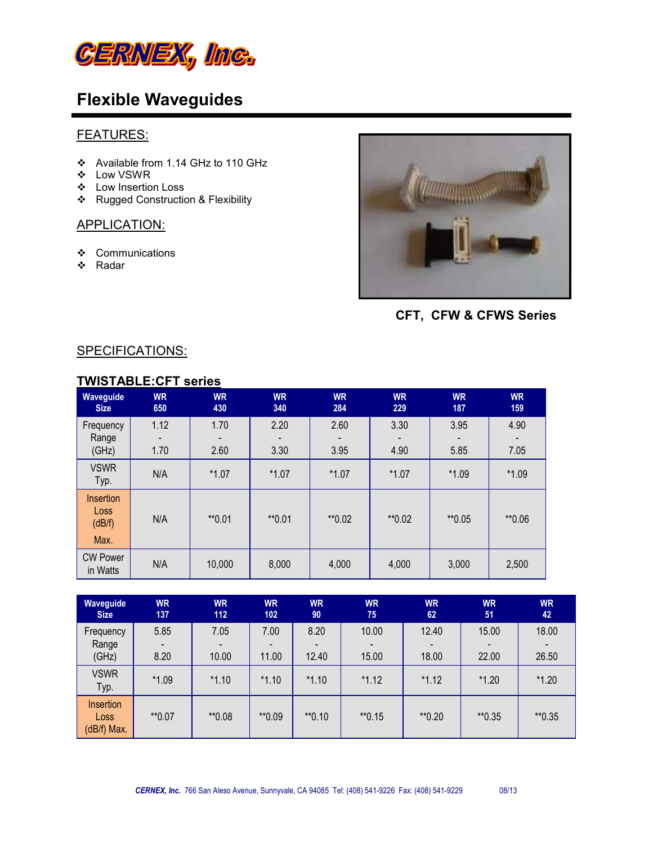

#### FEATURES:

- Available from 1.14 GHz to 110 GHz
- Low VSWR
- Low Insertion Loss
- \* Rugged Construction & Flexibility

### APPLICATION:

- ❖ Communications
- Radar



 **CFT, CFW & CFWS Series**

#### SPECIFICATIONS:

### **TWISTABLE:CFT series**

| Waveguide<br><b>Size</b>    | <b>WR</b><br>650 | <b>WR</b><br>430 | <b>WR</b><br>340 | <b>WR</b><br>284 | <b>WR</b><br>229 | <b>WR</b><br>187 | <b>WR</b><br>159 |
|-----------------------------|------------------|------------------|------------------|------------------|------------------|------------------|------------------|
| Frequency                   | 1.12             | 1.70             | 2.20             | 2.60             | 3.30             | 3.95             | 4.90             |
| Range                       |                  |                  |                  |                  |                  |                  |                  |
| (GHz)                       | 1.70             | 2.60             | 3.30             | 3.95             | 4.90             | 5.85             | 7.05             |
| <b>VSWR</b><br>Typ.         | N/A              | $*1.07$          | $*1.07$          | $*1.07$          | $*1.07$          | $*1.09$          | $*1.09$          |
| Insertion<br>Loss<br>(dB/f) | N/A              | $*$ 0.01         | $*$ 0.01         | **0.02           | **0.02           | ** 0.05          | **0.06           |
| Max.                        |                  |                  |                  |                  |                  |                  |                  |
| <b>CW Power</b><br>in Watts | N/A              | 10,000           | 8,000            | 4,000            | 4,000            | 3,000            | 2,500            |

| <b>Waveguide</b><br><b>Size</b>         | <b>WR</b><br>137 | <b>WR</b><br>112 | <b>WR</b><br>102 | <b>WR</b><br>90 | <b>WR</b><br>75 | <b>WR</b><br>62 | <b>WR</b><br>51 | <b>WR</b><br>42 |
|-----------------------------------------|------------------|------------------|------------------|-----------------|-----------------|-----------------|-----------------|-----------------|
| Frequency                               | 5.85             | 7.05             | 7.00             | 8.20            | 10.00           | 12.40           | 15.00           | 18.00           |
| Range<br>(GHz)                          | 8.20             | 10.00            | 11.00            | 12.40           | 15.00           | 18.00           | 22.00           | 26.50           |
| <b>VSWR</b><br>Typ.                     | $*1.09$          | $*1.10$          | $*1.10$          | $*1.10$         | $*1.12$         | $*1.12$         | $*1.20$         | $*1.20$         |
| <b>Insertion</b><br>Loss<br>(dB/f) Max. | **0.07           | **0.08           | **0.09           | $*$ 0.10        | $*$ 0.15        | $*$ 0.20        | $*$ 0.35        | $*$ 0.35        |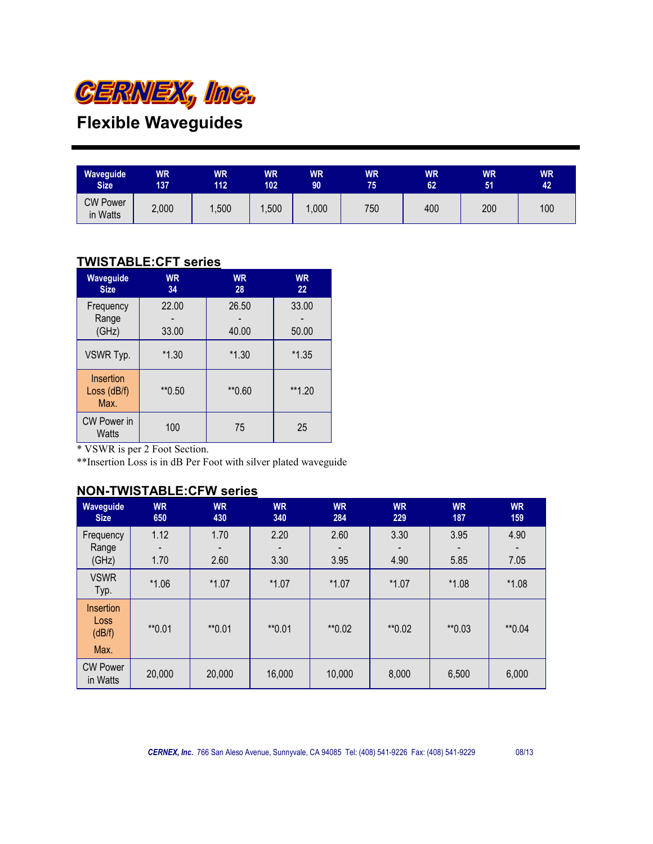

| Waveguide                   | WR    | <b>WR</b> | <b>WR</b> | WR   | <b>WR</b> | WR  | <b>WR</b> | <b>WR</b> |
|-----------------------------|-------|-----------|-----------|------|-----------|-----|-----------|-----------|
| <b>Size</b>                 | 137   | 112       | 102       | 90   | 75        | 62  | 51        | 42        |
| <b>CW Power</b><br>in Watts | 2,000 | ,500      | ,500      | ,000 | 750       | 400 | 200       | 100       |

### **TWISTABLE:CFT series**

| Waveguide<br><b>Size</b>           | <b>WR</b><br>34 | <b>WR</b><br>28 | <b>WR</b><br>22 |  |
|------------------------------------|-----------------|-----------------|-----------------|--|
| Frequency<br>Range<br>(GHz)        | 22.00<br>33.00  | 26.50<br>40.00  | 33.00<br>50.00  |  |
| VSWR Typ.                          | $*1.30$         |                 | $*1.35$         |  |
| Insertion<br>Loss (dB/f)<br>Max.   | **0.50          | $*$ 0.60        | **1.20          |  |
| <b>CW Power in</b><br><b>Watts</b> | 100             | 75              | 25              |  |

\* VSWR is per 2 Foot Section.

\*\*Insertion Loss is in dB Per Foot with silver plated waveguide

### **NON-TWISTABLE:CFW series**

| Waveguide<br><b>Size</b>                   | <b>WR</b><br>650 | <b>WR</b><br>430 | <b>WR</b><br>340 | <b>WR</b><br>284 | <b>WR</b><br>229 | <b>WR</b><br>187 | <b>WR</b><br>159 |
|--------------------------------------------|------------------|------------------|------------------|------------------|------------------|------------------|------------------|
| Frequency                                  | 1.12             | 1.70             | 2.20             | 2.60             | 3.30             | 3.95             | 4.90             |
| Range                                      |                  |                  |                  |                  |                  |                  |                  |
| (GHz)                                      | 1.70             | 2.60             | 3.30             | 3.95             | 4.90             | 5.85             | 7.05             |
| <b>VSWR</b><br>Typ.                        | $*1.06$          | $*1.07$          | $*1.07$          | $*1.07$          | $*1.07$          | $*1.08$          | $*1.08$          |
| <b>Insertion</b><br>Loss<br>(dB/f)<br>Max. | $*$ 0.01         | $*$ 0.01         | $*$ 0.01         | **0.02           | **0.02           | $*0.03$          | $*0.04$          |
| <b>CW Power</b><br>in Watts                | 20,000           | 20,000           | 16,000           | 10,000           | 8,000            | 6,500            | 6,000            |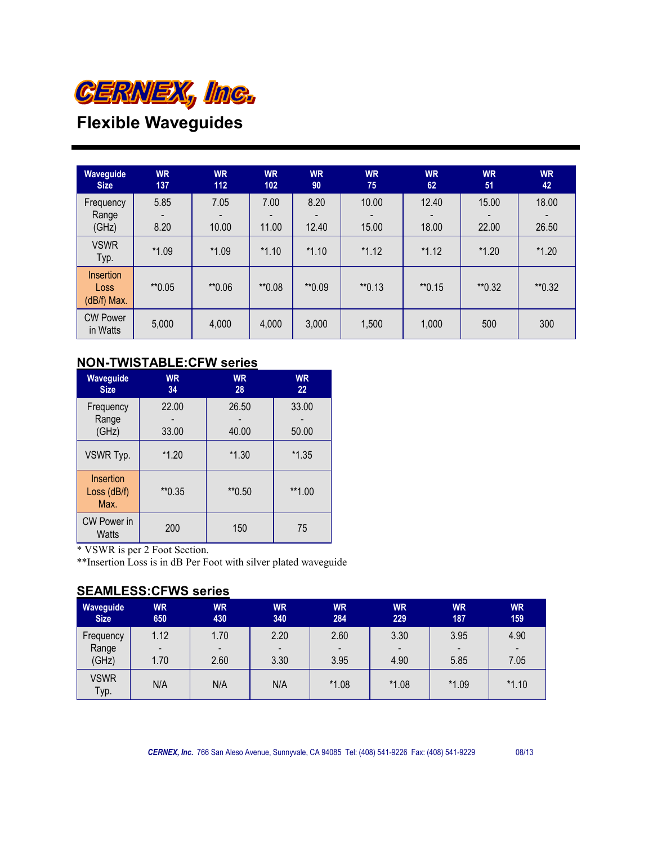

| Waveguide<br><b>Size</b>         | <b>WR</b><br>137 | <b>WR</b><br>112 | <b>WR</b><br>102 | <b>WR</b><br>90 | <b>WR</b><br>75 | <b>WR</b><br>62 | <b>WR</b><br>51 | <b>WR</b><br>42 |
|----------------------------------|------------------|------------------|------------------|-----------------|-----------------|-----------------|-----------------|-----------------|
| Frequency<br>Range<br>(GHz)      | 5.85<br>8.20     | 7.05<br>10.00    | 7.00<br>11.00    | 8.20<br>12.40   | 10.00<br>15.00  | 12.40<br>18.00  | 15.00<br>22.00  | 18.00<br>26.50  |
| <b>VSWR</b><br>Typ.              | $*1.09$          | $*1.09$          | $*1.10$          | $*1.10$         | $*1.12$         | $*1.12$         | $*1.20$         | $*1.20$         |
| Insertion<br>Loss<br>(dB/f) Max. | $*$ 0.05         | **0.06           | **0.08           | **0.09          | $*$ 0.13        | $*$ 0.15        | $*$ 0.32        | $*$ 0.32        |
| <b>CW Power</b><br>in Watts      | 5,000            | 4,000            | 4,000            | 3,000           | 1,500           | 1,000           | 500             | 300             |

### **NON-TWISTABLE:CFW series**

| Waveguide<br><b>Size</b>                     | <b>WR</b><br>34 | <b>WR</b><br>28 | <b>WR</b><br>22 |
|----------------------------------------------|-----------------|-----------------|-----------------|
| Frequency<br>Range<br>(GHz)                  | 22.00<br>33.00  | 26.50<br>40.00  | 33.00<br>50.00  |
| VSWR Typ.                                    | $*1.20$         |                 | $*1.35$         |
| Insertion<br>**0.35<br>Loss $(dB/f)$<br>Max. |                 | $*$ 0.50        | $**1.00$        |
| CW Power in<br>Watts                         | 200             | 150             | 75              |

\* VSWR is per 2 Foot Section.

\*\*Insertion Loss is in dB Per Foot with silver plated waveguide

### **SEAMLESS:CFWS series**

| Waveguide           | WR.                      | <b>WR</b> | <b>WR</b>                | <b>WR</b>      | <b>WR</b>                | <b>WR</b> | <b>WR</b>                |
|---------------------|--------------------------|-----------|--------------------------|----------------|--------------------------|-----------|--------------------------|
| <b>Size</b>         | 650                      | 430       | 340                      | 284            | 229                      | 187       | 159                      |
| Frequency           | 1.12                     | 1.70      | 2.20                     | 2.60           | 3.30                     | 3.95      | 4.90                     |
| Range               | $\overline{\phantom{0}}$ | -         | $\overline{\phantom{a}}$ | $\blacksquare$ | $\overline{\phantom{a}}$ |           | $\overline{\phantom{0}}$ |
| (GHz)               | 1.70                     | 2.60      | 3.30                     | 3.95           | 4.90                     | 5.85      | 7.05                     |
| <b>VSWR</b><br>Typ. | N/A                      | N/A       | N/A                      | $*1.08$        | $*1.08$                  | $*1.09$   | $*1.10$                  |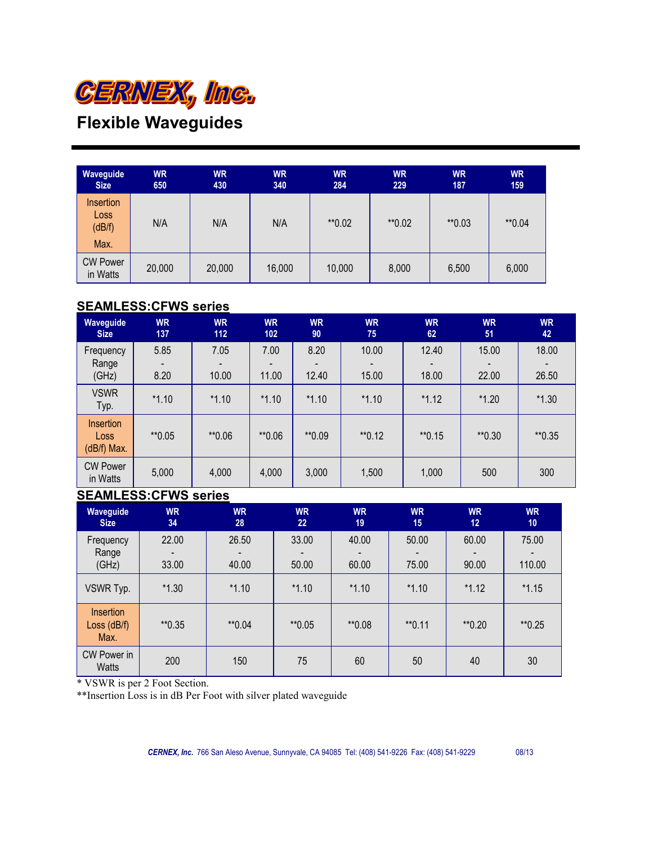

| <b>WR</b><br>650 | <b>WR</b><br>430 | <b>WR</b><br>340 | <b>WR</b><br>284 | <b>WR</b><br>229 | <b>WR</b><br>187 | <b>WR</b><br>159 |
|------------------|------------------|------------------|------------------|------------------|------------------|------------------|
| N/A              | N/A              | N/A              | **0.02           | ** 0.02          | $*$ 0.03         | **0.04           |
| 20,000           | 20,000           | 16,000           | 10,000           | 8,000            | 6,500            | 6,000            |
|                  |                  |                  |                  |                  |                  |                  |

### **SEAMLESS:CFWS series**

| Waveguide<br><b>Size</b>                | <b>WR</b><br>137 | <b>WR</b><br>112 | <b>WR</b><br>102 | <b>WR</b><br>90 | <b>WR</b><br>75 | <b>WR</b><br>62 | <b>WR</b><br>51 | <b>WR</b><br>42 |
|-----------------------------------------|------------------|------------------|------------------|-----------------|-----------------|-----------------|-----------------|-----------------|
| Frequency<br>Range<br>(GHz)             | 5.85<br>8.20     | 7.05<br>10.00    | 7.00<br>11.00    | 8.20<br>12.40   | 10.00<br>15.00  | 12.40<br>18.00  | 15.00<br>22.00  | 18.00<br>26.50  |
| <b>VSWR</b><br>Typ.                     | $*1.10$          | $*1.10$          | $*1.10$          | $*1.10$         | $*1.10$         | $*1.12$         | $*1.20$         | $*1.30$         |
| <b>Insertion</b><br>Loss<br>(dB/f) Max. | $*$ 0.05         | **0.06           | **0.06           | **0.09          | $*$ 0.12        | $*$ 0.15        | $*$ 0.30        | $*$ 0.35        |
| <b>CW Power</b><br>in Watts             | 5,000            | 4,000            | 4,000            | 3,000           | 1,500           | 1,000           | 500             | 300             |

### **SEAMLESS:CFWS series**

| Waveguide<br><b>Size</b>           | <b>WR</b><br>34 | <b>WR</b><br>28 | <b>WR</b><br>22 | <b>WR</b><br>19 | <b>WR</b><br>15 | <b>WR</b><br>12 | <b>WR</b><br>10 |
|------------------------------------|-----------------|-----------------|-----------------|-----------------|-----------------|-----------------|-----------------|
| Frequency<br>Range<br>(GHz)        | 22.00<br>33.00  | 26.50<br>40.00  | 33.00<br>50.00  | 40.00<br>60.00  | 50.00<br>75.00  | 60.00<br>90.00  | 75.00<br>110.00 |
| VSWR Typ.                          | $*1.30$         | $*1.10$         | $*1.10$         | $*1.10$         | $*1.10$         | $*1.12$         | $*1.15$         |
| Insertion<br>Loss $(dB/f)$<br>Max. | $*$ 0.35        | $*0.04$         | $*$ 0.05        | **0.08          | $*$ 0.11        | $*$ 0.20        | $*$ 0.25        |
| CW Power in<br>Watts               | 200             | 150             | 75              | 60              | 50              | 40              | 30              |

\* VSWR is per 2 Foot Section.

\*\*Insertion Loss is in dB Per Foot with silver plated waveguide